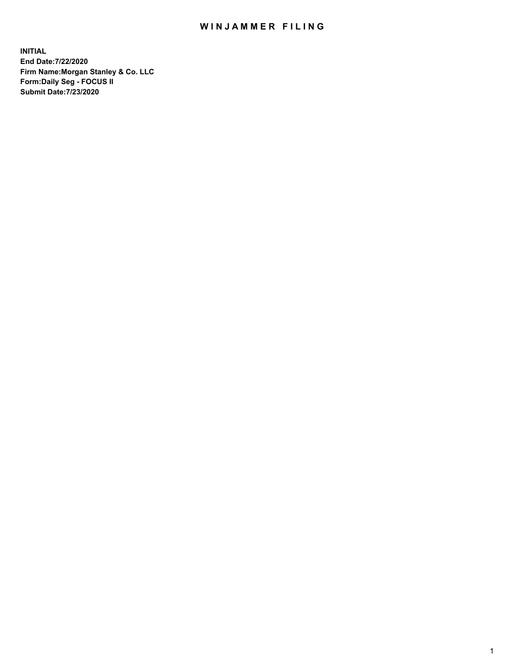## WIN JAMMER FILING

**INITIAL End Date:7/22/2020 Firm Name:Morgan Stanley & Co. LLC Form:Daily Seg - FOCUS II Submit Date:7/23/2020**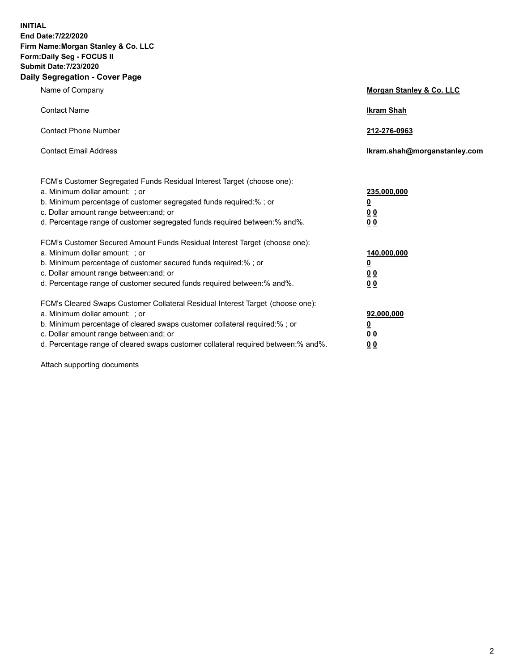**INITIAL End Date:7/22/2020 Firm Name:Morgan Stanley & Co. LLC Form:Daily Seg - FOCUS II Submit Date:7/23/2020 Daily Segregation - Cover Page**

| Name of Company                                                                                                                                                                                                                                                                                                                | Morgan Stanley & Co. LLC                                |
|--------------------------------------------------------------------------------------------------------------------------------------------------------------------------------------------------------------------------------------------------------------------------------------------------------------------------------|---------------------------------------------------------|
| <b>Contact Name</b>                                                                                                                                                                                                                                                                                                            | <b>Ikram Shah</b>                                       |
| <b>Contact Phone Number</b>                                                                                                                                                                                                                                                                                                    | 212-276-0963                                            |
| <b>Contact Email Address</b>                                                                                                                                                                                                                                                                                                   | Ikram.shah@morganstanley.com                            |
| FCM's Customer Segregated Funds Residual Interest Target (choose one):<br>a. Minimum dollar amount: ; or<br>b. Minimum percentage of customer segregated funds required:% ; or<br>c. Dollar amount range between: and; or<br>d. Percentage range of customer segregated funds required between:% and%.                         | 235,000,000<br><u>0</u><br><u>00</u><br><u>00</u>       |
| FCM's Customer Secured Amount Funds Residual Interest Target (choose one):<br>a. Minimum dollar amount: ; or<br>b. Minimum percentage of customer secured funds required:%; or<br>c. Dollar amount range between: and; or<br>d. Percentage range of customer secured funds required between:% and%.                            | 140,000,000<br><u>0</u><br><u>0 0</u><br>0 <sub>0</sub> |
| FCM's Cleared Swaps Customer Collateral Residual Interest Target (choose one):<br>a. Minimum dollar amount: ; or<br>b. Minimum percentage of cleared swaps customer collateral required:% ; or<br>c. Dollar amount range between: and; or<br>d. Percentage range of cleared swaps customer collateral required between:% and%. | 92,000,000<br><u>0</u><br><u>00</u><br>00               |

Attach supporting documents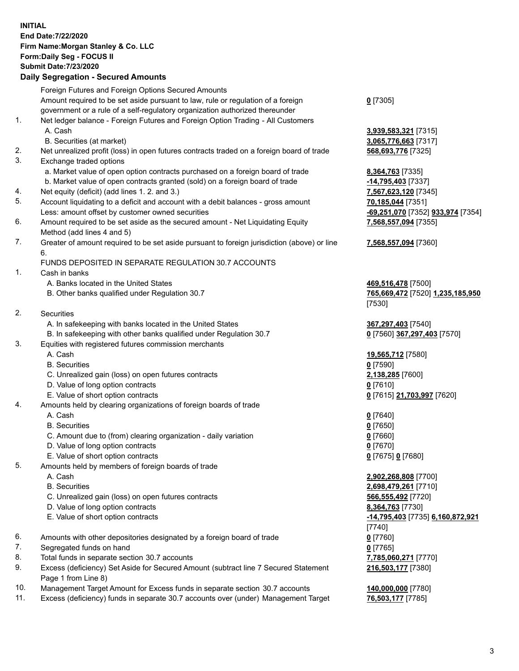## **INITIAL End Date:7/22/2020 Firm Name:Morgan Stanley & Co. LLC Form:Daily Seg - FOCUS II Submit Date:7/23/2020 Daily Segregation - Secured Amounts** Foreign Futures and Foreign Options Secured Amounts Amount required to be set aside pursuant to law, rule or regulation of a foreign government or a rule of a self-regulatory organization authorized thereunder 1. Net ledger balance - Foreign Futures and Foreign Option Trading - All Customers A. Cash **3,939,583,321** [7315] B. Securities (at market) **3,065,776,663** [7317] 2. Net unrealized profit (loss) in open futures contracts traded on a foreign board of trade **568,693,776** [7325] 3. Exchange traded options

- a. Market value of open option contracts purchased on a foreign board of trade **8,364,763** [7335]
- b. Market value of open contracts granted (sold) on a foreign board of trade **-14,795,403** [7337]
- 4. Net equity (deficit) (add lines 1. 2. and 3.) **7,567,623,120** [7345]
- 5. Account liquidating to a deficit and account with a debit balances gross amount **70,185,044** [7351] Less: amount offset by customer owned securities **-69,251,070** [7352] **933,974** [7354]
- 6. Amount required to be set aside as the secured amount Net Liquidating Equity Method (add lines 4 and 5)
- 7. Greater of amount required to be set aside pursuant to foreign jurisdiction (above) or line 6.

## FUNDS DEPOSITED IN SEPARATE REGULATION 30.7 ACCOUNTS

- 1. Cash in banks
	- A. Banks located in the United States **469,516,478** [7500]
	- B. Other banks qualified under Regulation 30.7 **765,669,472** [7520] **1,235,185,950**
- 2. Securities
	- A. In safekeeping with banks located in the United States **367,297,403** [7540]
- B. In safekeeping with other banks qualified under Regulation 30.7 **0** [7560] **367,297,403** [7570]
- 3. Equities with registered futures commission merchants
	-
	- B. Securities **0** [7590]
	- C. Unrealized gain (loss) on open futures contracts **2,138,285** [7600]
	- D. Value of long option contracts **0** [7610]
	- E. Value of short option contracts **0** [7615] **21,703,997** [7620]
- 4. Amounts held by clearing organizations of foreign boards of trade
	- A. Cash **0** [7640]
	- B. Securities **0** [7650]
	- C. Amount due to (from) clearing organization daily variation **0** [7660]
	- D. Value of long option contracts **0** [7670]
	- E. Value of short option contracts **0** [7675] **0** [7680]
- 5. Amounts held by members of foreign boards of trade
	-
	-
	- C. Unrealized gain (loss) on open futures contracts **566,555,492** [7720]
	- D. Value of long option contracts **8,364,763** [7730]
	-
- 6. Amounts with other depositories designated by a foreign board of trade **0** [7760]
- 7. Segregated funds on hand **0** [7765]
- 8. Total funds in separate section 30.7 accounts **7,785,060,271** [7770]
- 9. Excess (deficiency) Set Aside for Secured Amount (subtract line 7 Secured Statement Page 1 from Line 8)
- 10. Management Target Amount for Excess funds in separate section 30.7 accounts **140,000,000** [7780]
- 11. Excess (deficiency) funds in separate 30.7 accounts over (under) Management Target **76,503,177** [7785]

**0** [7305]

**7,568,557,094** [7355]

## **7,568,557,094** [7360]

[7530]

A. Cash **19,565,712** [7580]

 A. Cash **2,902,268,808** [7700] B. Securities **2,698,479,261** [7710] E. Value of short option contracts **-14,795,403** [7735] **6,160,872,921** [7740] **216,503,177** [7380]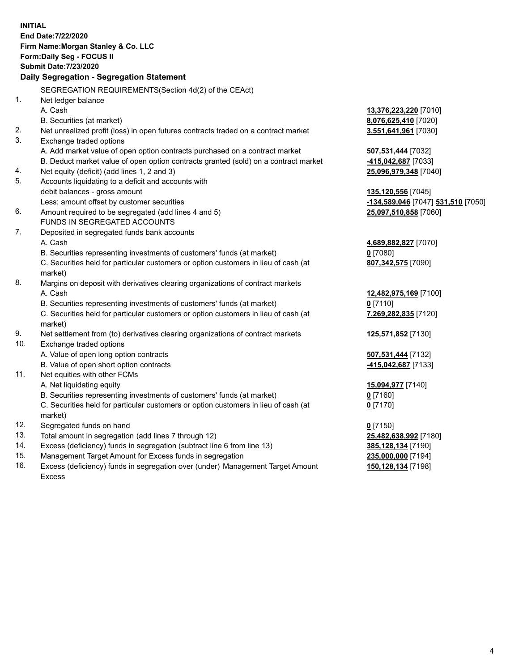**INITIAL End Date:7/22/2020 Firm Name:Morgan Stanley & Co. LLC Form:Daily Seg - FOCUS II Submit Date:7/23/2020 Daily Segregation - Segregation Statement** SEGREGATION REQUIREMENTS(Section 4d(2) of the CEAct) 1. Net ledger balance A. Cash **13,376,223,220** [7010] B. Securities (at market) **8,076,625,410** [7020] 2. Net unrealized profit (loss) in open futures contracts traded on a contract market **3,551,641,961** [7030] 3. Exchange traded options A. Add market value of open option contracts purchased on a contract market **507,531,444** [7032] B. Deduct market value of open option contracts granted (sold) on a contract market **-415,042,687** [7033] 4. Net equity (deficit) (add lines 1, 2 and 3) **25,096,979,348** [7040] 5. Accounts liquidating to a deficit and accounts with debit balances - gross amount **135,120,556** [7045] Less: amount offset by customer securities **-134,589,046** [7047] **531,510** [7050] 6. Amount required to be segregated (add lines 4 and 5) **25,097,510,858** [7060] FUNDS IN SEGREGATED ACCOUNTS 7. Deposited in segregated funds bank accounts A. Cash **4,689,882,827** [7070] B. Securities representing investments of customers' funds (at market) **0** [7080] C. Securities held for particular customers or option customers in lieu of cash (at market) **807,342,575** [7090] 8. Margins on deposit with derivatives clearing organizations of contract markets A. Cash **12,482,975,169** [7100] B. Securities representing investments of customers' funds (at market) **0** [7110] C. Securities held for particular customers or option customers in lieu of cash (at market) **7,269,282,835** [7120] 9. Net settlement from (to) derivatives clearing organizations of contract markets **125,571,852** [7130] 10. Exchange traded options A. Value of open long option contracts **507,531,444** [7132] B. Value of open short option contracts **-415,042,687** [7133] 11. Net equities with other FCMs A. Net liquidating equity **15,094,977** [7140] B. Securities representing investments of customers' funds (at market) **0** [7160] C. Securities held for particular customers or option customers in lieu of cash (at market) **0** [7170] 12. Segregated funds on hand **0** [7150] 13. Total amount in segregation (add lines 7 through 12) **25,482,638,992** [7180] 14. Excess (deficiency) funds in segregation (subtract line 6 from line 13) **385,128,134** [7190] 15. Management Target Amount for Excess funds in segregation **235,000,000** [7194] **150,128,134** [7198]

16. Excess (deficiency) funds in segregation over (under) Management Target Amount Excess